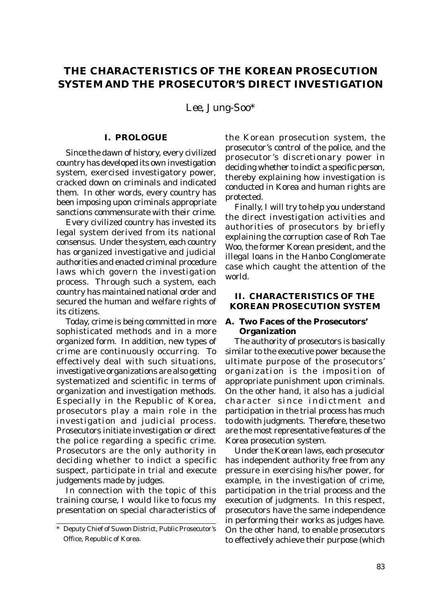# **THE CHARACTERISTICS OF THE KOREAN PROSECUTION SYSTEM AND THE PROSECUTOR'S DIRECT INVESTIGATION**

*Lee, Jung-Soo\**

#### **I. PROLOGUE**

Since the dawn of history, every civilized country has developed its own investigation system, exercised investigatory power, cracked down on criminals and indicated them. In other words, every country has been imposing upon criminals appropriate sanctions commensurate with their crime.

Every civilized country has invested its legal system derived from its national consensus. Under the system, each country has organized investigative and judicial authorities and enacted criminal procedure laws which govern the investigation process. Through such a system, each country has maintained national order and secured the human and welfare rights of its citizens.

Today, crime is being committed in more sophisticated methods and in a more organized form. In addition, new types of crime are continuously occurring. To effectively deal with such situations, investigative organizations are also getting systematized and scientific in terms of organization and investigation methods. Especially in the Republic of Korea, prosecutors play a main role in the investigation and judicial process. Prosecutors initiate investigation or direct the police regarding a specific crime. Prosecutors are the only authority in deciding whether to indict a specific suspect, participate in trial and execute judgements made by judges.

In connection with the topic of this training course, I would like to focus my presentation on special characteristics of the Korean prosecution system, the prosecutor's control of the police, and the prosecutor's discretionary power in deciding whether to indict a specific person, thereby explaining how investigation is conducted in Korea and human rights are protected.

Finally, I will try to help you understand the direct investigation activities and authorities of prosecutors by briefly explaining the corruption case of Roh Tae Woo, the former Korean president, and the illegal loans in the Hanbo Conglomerate case which caught the attention of the world.

### **II. CHARACTERISTICS OF THE KOREAN PROSECUTION SYSTEM**

## **A. Two Faces of the Prosecutors' Organization**

The authority of prosecutors is basically similar to the executive power because the ultimate purpose of the prosecutors' organization is the imposition of appropriate punishment upon criminals. On the other hand, it also has a judicial character since indictment and participation in the trial process has much to do with judgments. Therefore, these two are the most representative features of the Korea prosecution system.

Under the Korean laws, each prosecutor has independent authority free from any pressure in exercising his/her power, for example, in the investigation of crime, participation in the trial process and the execution of judgments. In this respect, prosecutors have the same independence in performing their works as judges have. On the other hand, to enable prosecutors to effectively achieve their purpose (which

Deputy Chief of Suwon District, Public Prosecutor's Office, Republic of Korea.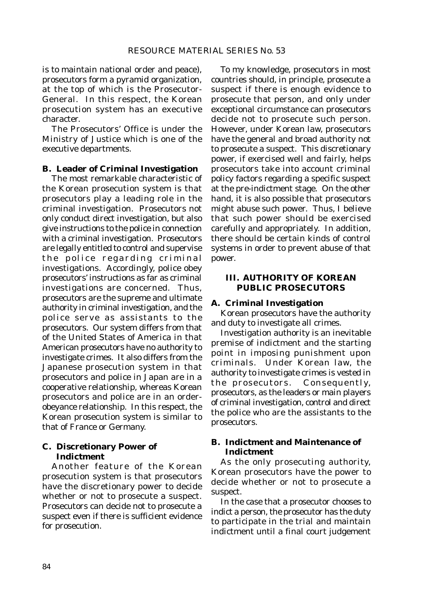is to maintain national order and peace), prosecutors form a pyramid organization, at the top of which is the Prosecutor-General. In this respect, the Korean prosecution system has an executive character.

The Prosecutors' Office is under the Ministry of Justice which is one of the executive departments.

#### **B. Leader of Criminal Investigation**

The most remarkable characteristic of the Korean prosecution system is that prosecutors play a leading role in the criminal investigation. Prosecutors not only conduct direct investigation, but also give instructions to the police in connection with a criminal investigation. Prosecutors are legally entitled to control and supervise the police regarding criminal investigations. Accordingly, police obey prosecutors' instructions as far as criminal investigations are concerned. Thus, prosecutors are the supreme and ultimate authority in criminal investigation, and the police serve as assistants to the prosecutors. Our system differs from that of the United States of America in that American prosecutors have no authority to investigate crimes. It also differs from the Japanese prosecution system in that prosecutors and police in Japan are in a cooperative relationship, whereas Korean prosecutors and police are in an orderobeyance relationship. In this respect, the Korean prosecution system is similar to that of France or Germany.

#### **C. Discretionary Power of Indictment**

Another feature of the Korean prosecution system is that prosecutors have the discretionary power to decide whether or not to prosecute a suspect. Prosecutors can decide not to prosecute a suspect even if there is sufficient evidence for prosecution.

To my knowledge, prosecutors in most countries should, in principle, prosecute a suspect if there is enough evidence to prosecute that person, and only under exceptional circumstance can prosecutors decide not to prosecute such person. However, under Korean law, prosecutors have the general and broad authority not to prosecute a suspect. This discretionary power, if exercised well and fairly, helps prosecutors take into account criminal policy factors regarding a specific suspect at the pre-indictment stage. On the other hand, it is also possible that prosecutors might abuse such power. Thus, I believe that such power should be exercised carefully and appropriately. In addition, there should be certain kinds of control systems in order to prevent abuse of that power.

#### **III. AUTHORITY OF KOREAN PUBLIC PROSECUTORS**

#### **A. Criminal Investigation**

Korean prosecutors have the authority and duty to investigate all crimes.

Investigation authority is an inevitable premise of indictment and the starting point in imposing punishment upon criminals. Under Korean law, the authority to investigate crimes is vested in the prosecutors. Consequently, prosecutors, as the leaders or main players of criminal investigation, control and direct the police who are the assistants to the prosecutors.

## **B. Indictment and Maintenance of Indictment**

As the only prosecuting authority, Korean prosecutors have the power to decide whether or not to prosecute a suspect.

In the case that a prosecutor chooses to indict a person, the prosecutor has the duty to participate in the trial and maintain indictment until a final court judgement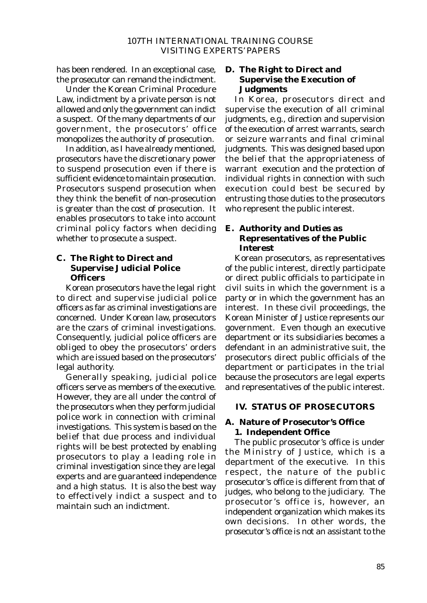has been rendered. In an exceptional case, the prosecutor can remand the indictment.

Under the Korean Criminal Procedure Law, indictment by a private person is not allowed and only the government can indict a suspect. Of the many departments of our government, the prosecutors' office monopolizes the authority of prosecution.

In addition, as I have already mentioned, prosecutors have the discretionary power to suspend prosecution even if there is sufficient evidence to maintain prosecution. Prosecutors suspend prosecution when they think the benefit of non-prosecution is greater than the cost of prosecution. It enables prosecutors to take into account criminal policy factors when deciding whether to prosecute a suspect.

## **C. The Right to Direct and Supervise Judicial Police Officers**

Korean prosecutors have the legal right to direct and supervise judicial police officers as far as criminal investigations are concerned. Under Korean law, prosecutors are the czars of criminal investigations. Consequently, judicial police officers are obliged to obey the prosecutors' orders which are issued based on the prosecutors' legal authority.

Generally speaking, judicial police officers serve as members of the executive. However, they are all under the control of the prosecutors when they perform judicial police work in connection with criminal investigations. This system is based on the belief that due process and individual rights will be best protected by enabling prosecutors to play a leading role in criminal investigation since they are legal experts and are guaranteed independence and a high status. It is also the best way to effectively indict a suspect and to maintain such an indictment.

## **D. The Right to Direct and Supervise the Execution of Judgments**

In Korea, prosecutors direct and supervise the execution of all criminal judgments, e.g., direction and supervision of the execution of arrest warrants, search or seizure warrants and final criminal judgments. This was designed based upon the belief that the appropriateness of warrant execution and the protection of individual rights in connection with such execution could best be secured by entrusting those duties to the prosecutors who represent the public interest.

## **E. Authority and Duties as Representatives of the Public Interest**

Korean prosecutors, as representatives of the public interest, directly participate or direct public officials to participate in civil suits in which the government is a party or in which the government has an interest. In these civil proceedings, the Korean Minister of Justice represents our government. Even though an executive department or its subsidiaries becomes a defendant in an administrative suit, the prosecutors direct public officials of the department or participates in the trial because the prosecutors are legal experts and representatives of the public interest.

## **IV. STATUS OF PROSECUTORS**

## **A. Nature of Prosecutor's Office 1. Independent Office**

The public prosecutor's office is under the Ministry of Justice, which is a department of the executive. In this respect, the nature of the public prosecutor's office is different from that of judges, who belong to the judiciary. The prosecutor's office is, however, an independent organization which makes its own decisions. In other words, the prosecutor's office is not an assistant to the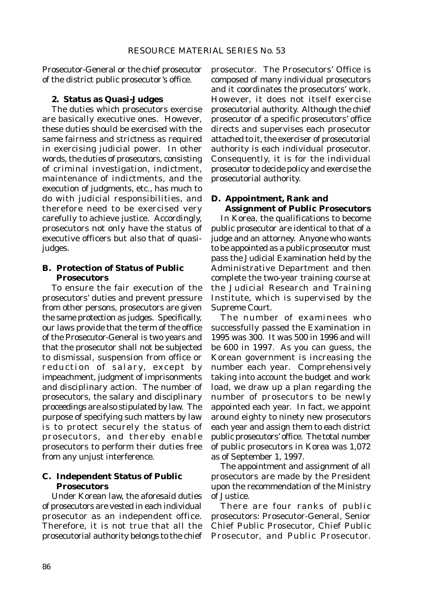Prosecutor-General or the chief prosecutor of the district public prosecutor's office.

## **2. Status as Quasi-Judges**

The duties which prosecutors exercise are basically executive ones. However, these duties should be exercised with the same fairness and strictness as required in exercising judicial power. In other words, the duties of prosecutors, consisting of criminal investigation, indictment, maintenance of indictments, and the execution of judgments, etc., has much to do with judicial responsibilities, and therefore need to be exercised very carefully to achieve justice. Accordingly, prosecutors not only have the status of executive officers but also that of quasijudges.

## **B. Protection of Status of Public Prosecutors**

To ensure the fair execution of the prosecutors' duties and prevent pressure from other persons, prosecutors are given the same protection as judges. Specifically, our laws provide that the term of the office of the Prosecutor-General is two years and that the prosecutor shall not be subjected to dismissal, suspension from office or reduction of salary, except by impeachment, judgment of imprisonments and disciplinary action. The number of prosecutors, the salary and disciplinary proceedings are also stipulated by law. The purpose of specifying such matters by law is to protect securely the status of prosecutors, and thereby enable prosecutors to perform their duties free from any unjust interference.

## **C. Independent Status of Public Prosecutors**

Under Korean law, the aforesaid duties of prosecutors are vested in each individual prosecutor as an independent office. Therefore, it is not true that all the prosecutorial authority belongs to the chief prosecutor. The Prosecutors' Office is composed of many individual prosecutors and it coordinates the prosecutors' work. However, it does not itself exercise prosecutorial authority. Although the chief prosecutor of a specific prosecutors' office directs and supervises each prosecutor attached to it, the exerciser of prosecutorial authority is each individual prosecutor. Consequently, it is for the individual prosecutor to decide policy and exercise the prosecutorial authority.

## **D. Appointment, Rank and Assignment of Public Prosecutors**

In Korea, the qualifications to become public prosecutor are identical to that of a judge and an attorney. Anyone who wants to be appointed as a public prosecutor must pass the Judicial Examination held by the Administrative Department and then complete the two-year training course at the Judicial Research and Training Institute, which is supervised by the Supreme Court.

The number of examinees who successfully passed the Examination in 1995 was 300. It was 500 in 1996 and will be 600 in 1997. As you can guess, the Korean government is increasing the number each year. Comprehensively taking into account the budget and work load, we draw up a plan regarding the number of prosecutors to be newly appointed each year. In fact, we appoint around eighty to ninety new prosecutors each year and assign them to each district public prosecutors' office. The total number of public prosecutors in Korea was 1,072 as of September 1, 1997.

The appointment and assignment of all prosecutors are made by the President upon the recommendation of the Ministry of Justice.

There are four ranks of public prosecutors: Prosecutor-General, Senior Chief Public Prosecutor, Chief Public Prosecutor, and Public Prosecutor.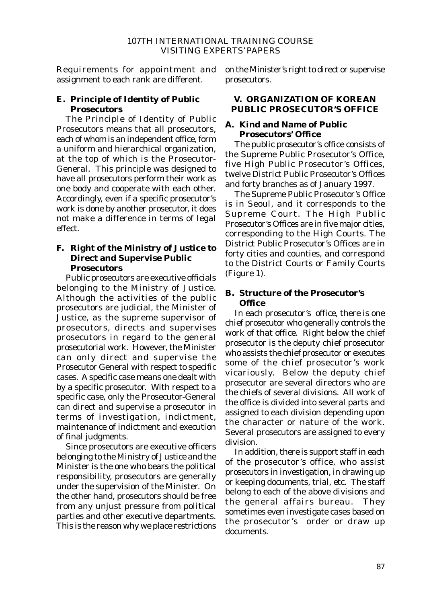Requirements for appointment and assignment to each rank are different.

## **E. Principle of Identity of Public Prosecutors**

The Principle of Identity of Public Prosecutors means that all prosecutors, each of whom is an independent office, form a uniform and hierarchical organization, at the top of which is the Prosecutor-General. This principle was designed to have all prosecutors perform their work as one body and cooperate with each other. Accordingly, even if a specific prosecutor's work is done by another prosecutor, it does not make a difference in terms of legal effect.

## **F. Right of the Ministry of Justice to Direct and Supervise Public Prosecutors**

Public prosecutors are executive officials belonging to the Ministry of Justice. Although the activities of the public prosecutors are judicial, the Minister of Justice, as the supreme supervisor of prosecutors, directs and supervises prosecutors in regard to the general prosecutorial work. However, the Minister can only direct and supervise the Prosecutor General with respect to specific cases. A specific case means one dealt with by a specific prosecutor. With respect to a specific case, only the Prosecutor-General can direct and supervise a prosecutor in terms of investigation, indictment, maintenance of indictment and execution of final judgments.

Since prosecutors are executive officers belonging to the Ministry of Justice and the Minister is the one who bears the political responsibility, prosecutors are generally under the supervision of the Minister. On the other hand, prosecutors should be free from any unjust pressure from political parties and other executive departments. This is the reason why we place restrictions on the Minister's right to direct or supervise prosecutors.

## **V. ORGANIZATION OF KOREAN PUBLIC PROSECUTOR'S OFFICE**

## **A. Kind and Name of Public Prosecutors' Office**

The public prosecutor's office consists of the Supreme Public Prosecutor's Office, five High Public Prosecutor's Offices, twelve District Public Prosecutor's Offices and forty branches as of January 1997.

The Supreme Public Prosecutor's Office is in Seoul, and it corresponds to the Supreme Court. The High Public Prosecutor's Offices are in five major cities, corresponding to the High Courts. The District Public Prosecutor's Offices are in forty cities and counties, and correspond to the District Courts or Family Courts (Figure 1).

## **B. Structure of the Prosecutor's Office**

In each prosecutor's office, there is one chief prosecutor who generally controls the work of that office. Right below the chief prosecutor is the deputy chief prosecutor who assists the chief prosecutor or executes some of the chief prosecutor's work vicariously. Below the deputy chief prosecutor are several directors who are the chiefs of several divisions. All work of the office is divided into several parts and assigned to each division depending upon the character or nature of the work. Several prosecutors are assigned to every division.

In addition, there is support staff in each of the prosecutor's office, who assist prosecutors in investigation, in drawing up or keeping documents, trial, etc. The staff belong to each of the above divisions and the general affairs bureau. They sometimes even investigate cases based on the prosecutor's order or draw up documents.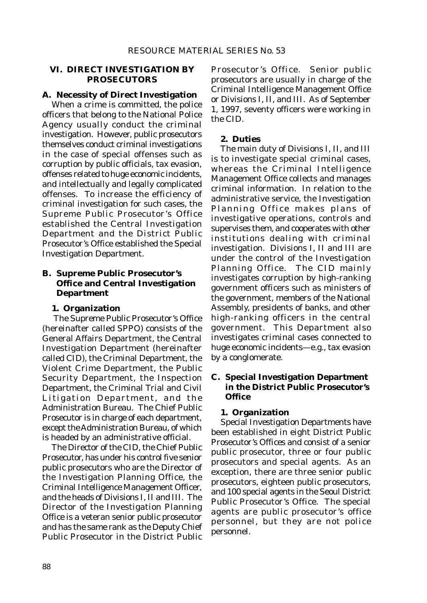### **VI. DIRECT INVESTIGATION BY PROSECUTORS**

## **A. Necessity of Direct Investigation**

When a crime is committed, the police officers that belong to the National Police Agency usually conduct the criminal investigation. However, public prosecutors themselves conduct criminal investigations in the case of special offenses such as corruption by public officials, tax evasion, offenses related to huge economic incidents, and intellectually and legally complicated offenses. To increase the efficiency of criminal investigation for such cases, the Supreme Public Prosecutor's Office established the Central Investigation Department and the District Public Prosecutor's Office established the Special Investigation Department.

## **B. Supreme Public Prosecutor's Office and Central Investigation Department**

## **1. Organization**

 The Supreme Public Prosecutor's Office (hereinafter called SPPO) consists of the General Affairs Department, the Central Investigation Department (hereinafter called CID), the Criminal Department, the Violent Crime Department, the Public Security Department, the Inspection Department, the Criminal Trial and Civil Litigation Department, and the Administration Bureau. The Chief Public Prosecutor is in charge of each department, except the Administration Bureau, of which is headed by an administrative official.

The Director of the CID, the Chief Public Prosecutor, has under his control five senior public prosecutors who are the Director of the Investigation Planning Office, the Criminal Intelligence Management Officer, and the heads of Divisions I, II and III. The Director of the Investigation Planning Office is a veteran senior public prosecutor and has the same rank as the Deputy Chief Public Prosecutor in the District Public

Prosecutor's Office. Senior public prosecutors are usually in charge of the Criminal Intelligence Management Office or Divisions I, II, and III. As of September 1, 1997, seventy officers were working in the CID.

#### **2. Duties**

The main duty of Divisions I, II, and III is to investigate special criminal cases, whereas the Criminal Intelligence Management Office collects and manages criminal information. In relation to the administrative service, the Investigation Planning Office makes plans of investigative operations, controls and supervises them, and cooperates with other institutions dealing with criminal investigation. Divisions I, II and III are under the control of the Investigation Planning Office. The CID mainly investigates corruption by high-ranking government officers such as ministers of the government, members of the National Assembly, presidents of banks, and other high-ranking officers in the central government. This Department also investigates criminal cases connected to huge economic incidents—e.g., tax evasion by a conglomerate.

## **C. Special Investigation Department in the District Public Prosecutor's Office**

#### **1. Organization**

Special Investigation Departments have been established in eight District Public Prosecutor's Offices and consist of a senior public prosecutor, three or four public prosecutors and special agents. As an exception, there are three senior public prosecutors, eighteen public prosecutors, and 100 special agents in the Seoul District Public Prosecutor's Office. The special agents are public prosecutor's office personnel, but they are not police personnel.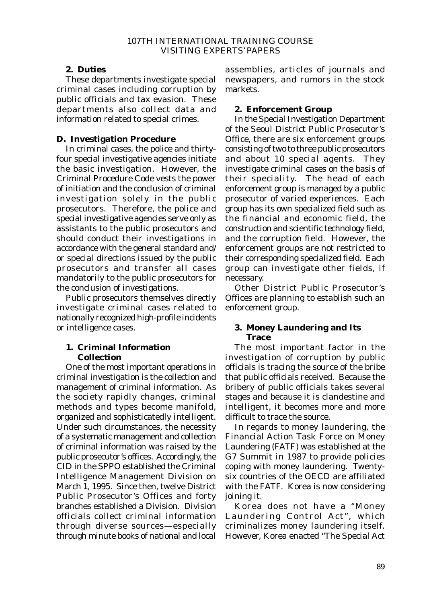## **2. Duties**

These departments investigate special criminal cases including corruption by public officials and tax evasion. These departments also collect data and information related to special crimes.

## **D. Investigation Procedure**

In criminal cases, the police and thirtyfour special investigative agencies initiate the basic investigation. However, the Criminal Procedure Code vests the power of initiation and the conclusion of criminal investigation solely in the public prosecutors. Therefore, the police and special investigative agencies serve only as assistants to the public prosecutors and should conduct their investigations in accordance with the general standard and/ or special directions issued by the public prosecutors and transfer all cases mandatorily to the public prosecutors for the conclusion of investigations.

Public prosecutors themselves directly investigate criminal cases related to nationally recognized high-profile incidents or intelligence cases.

## **1. Criminal Information Collection**

One of the most important operations in criminal investigation is the collection and management of criminal information. As the society rapidly changes, criminal methods and types become manifold, organized and sophisticatedly intelligent. Under such circumstances, the necessity of a systematic management and collection of criminal information was raised by the public prosecutor's offices. Accordingly, the CID in the SPPO established the Criminal Intelligence Management Division on March 1, 1995. Since then, twelve District Public Prosecutor's Offices and forty branches established a Division. Division officials collect criminal information through diverse sources—especially through minute books of national and local assemblies, articles of journals and newspapers, and rumors in the stock markets.

## **2. Enforcement Group**

In the Special Investigation Department of the Seoul District Public Prosecutor's Office, there are six enforcement groups consisting of two to three public prosecutors and about 10 special agents. They investigate criminal cases on the basis of their speciality. The head of each enforcement group is managed by a public prosecutor of varied experiences. Each group has its own specialized field such as the financial and economic field, the construction and scientific technology field, and the corruption field. However, the enforcement groups are not restricted to their corresponding specialized field. Each group can investigate other fields, if necessary.

Other District Public Prosecutor's Offices are planning to establish such an enforcement group.

## **3. Money Laundering and Its Trace**

The most important factor in the investigation of corruption by public officials is tracing the source of the bribe that public officials received. Because the bribery of public officials takes several stages and because it is clandestine and intelligent, it becomes more and more difficult to trace the source.

In regards to money laundering, the Financial Action Task Force on Money Laundering (FATF) was established at the G7 Summit in 1987 to provide policies coping with money laundering. Twentysix countries of the OECD are affiliated with the FATF. Korea is now considering joining it.

Korea does not have a "Money Laundering Control Act", which criminalizes money laundering itself. However, Korea enacted "The Special Act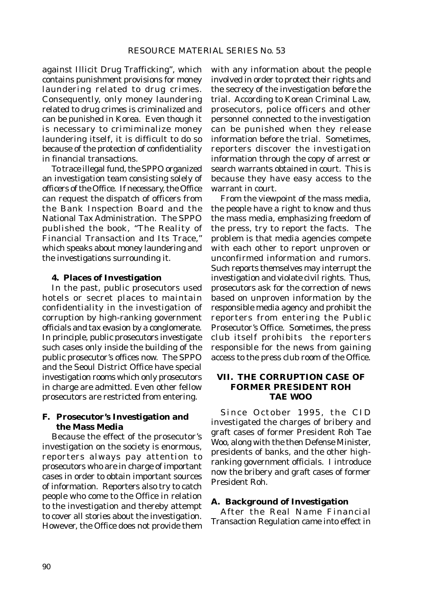against Illicit Drug Trafficking", which contains punishment provisions for money laundering related to drug crimes. Consequently, only money laundering related to drug crimes is criminalized and can be punished in Korea. Even though it is necessary to crimiminalize money laundering itself, it is difficult to do so because of the protection of confidentiality in financial transactions.

To trace illegal fund, the SPPO organized an investigation team consisting solely of officers of the Office. If necessary, the Office can request the dispatch of officers from the Bank Inspection Board and the National Tax Administration. The SPPO published the book, "The Reality of Financial Transaction and Its Trace," which speaks about money laundering and the investigations surrounding it.

#### **4. Places of Investigation**

In the past, public prosecutors used hotels or secret places to maintain confidentiality in the investigation of corruption by high-ranking government officials and tax evasion by a conglomerate. In principle, public prosecutors investigate such cases only inside the building of the public prosecutor's offices now. The SPPO and the Seoul District Office have special investigation rooms which only prosecutors in charge are admitted. Even other fellow prosecutors are restricted from entering.

### **F. Prosecutor's Investigation and the Mass Media**

Because the effect of the prosecutor's investigation on the society is enormous, reporters always pay attention to prosecutors who are in charge of important cases in order to obtain important sources of information. Reporters also try to catch people who come to the Office in relation to the investigation and thereby attempt to cover all stories about the investigation. However, the Office does not provide them with any information about the people involved in order to protect their rights and the secrecy of the investigation before the trial. According to Korean Criminal Law, prosecutors, police officers and other personnel connected to the investigation can be punished when they release information before the trial. Sometimes, reporters discover the investigation information through the copy of arrest or search warrants obtained in court. This is because they have easy access to the warrant in court.

From the viewpoint of the mass media, the people have a right to know and thus the mass media, emphasizing freedom of the press, try to report the facts. The problem is that media agencies compete with each other to report unproven or unconfirmed information and rumors. Such reports themselves may interrupt the investigation and violate civil rights. Thus, prosecutors ask for the correction of news based on unproven information by the responsible media agency and prohibit the reporters from entering the Public Prosecutor's Office. Sometimes, the press club itself prohibits the reporters responsible for the news from gaining access to the press club room of the Office.

## **VII. THE CORRUPTION CASE OF FORMER PRESIDENT ROH TAE WOO**

Since October 1995, the CID investigated the charges of bribery and graft cases of former President Roh Tae Woo, along with the then Defense Minister, presidents of banks, and the other highranking government officials. I introduce now the bribery and graft cases of former President Roh.

#### **A. Background of Investigation**

After the Real Name Financial Transaction Regulation came into effect in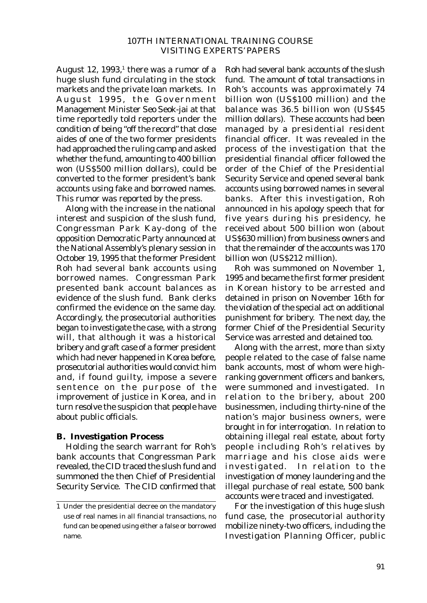August  $12$ ,  $1993$ ,<sup>1</sup> there was a rumor of a huge slush fund circulating in the stock markets and the private loan markets. In August 1995, the Government Management Minister Seo Seok-jai at that time reportedly told reporters under the condition of being "off the record" that close aides of one of the two former presidents had approached the ruling camp and asked whether the fund, amounting to 400 billion won (US\$500 million dollars), could be converted to the former president's bank accounts using fake and borrowed names. This rumor was reported by the press.

Along with the increase in the national interest and suspicion of the slush fund, Congressman Park Kay-dong of the opposition Democratic Party announced at the National Assembly's plenary session in October 19, 1995 that the former President Roh had several bank accounts using borrowed names. Congressman Park presented bank account balances as evidence of the slush fund. Bank clerks confirmed the evidence on the same day. Accordingly, the prosecutorial authorities began to investigate the case, with a strong will, that although it was a historical bribery and graft case of a former president which had never happened in Korea before, prosecutorial authorities would convict him and, if found guilty, impose a severe sentence on the purpose of the improvement of justice in Korea, and in turn resolve the suspicion that people have about public officials.

## **B. Investigation Process**

Holding the search warrant for Roh's bank accounts that Congressman Park revealed, the CID traced the slush fund and summoned the then Chief of Presidential Security Service. The CID confirmed that Roh had several bank accounts of the slush fund. The amount of total transactions in Roh's accounts was approximately 74 billion won (US\$100 million) and the balance was 36.5 billion won (US\$45 million dollars). These accounts had been managed by a presidential resident financial officer. It was revealed in the process of the investigation that the presidential financial officer followed the order of the Chief of the Presidential Security Service and opened several bank accounts using borrowed names in several banks. After this investigation, Roh announced in his apology speech that for five years during his presidency, he received about 500 billion won (about US\$630 million) from business owners and that the remainder of the accounts was 170 billion won (US\$212 million).

Roh was summoned on November 1, 1995 and became the first former president in Korean history to be arrested and detained in prison on November 16th for the violation of the special act on additional punishment for bribery. The next day, the former Chief of the Presidential Security Service was arrested and detained too.

Along with the arrest, more than sixty people related to the case of false name bank accounts, most of whom were highranking government officers and bankers, were summoned and investigated. In relation to the bribery, about 200 businessmen, including thirty-nine of the nation's major business owners, were brought in for interrogation. In relation to obtaining illegal real estate, about forty people including Roh's relatives by marriage and his close aids were investigated. In relation to the investigation of money laundering and the illegal purchase of real estate, 500 bank accounts were traced and investigated.

For the investigation of this huge slush fund case, the prosecutorial authority mobilize ninety-two officers, including the Investigation Planning Officer, public

<sup>1</sup> Under the presidential decree on the mandatory use of real names in all financial transactions, no fund can be opened using either a false or borrowed name.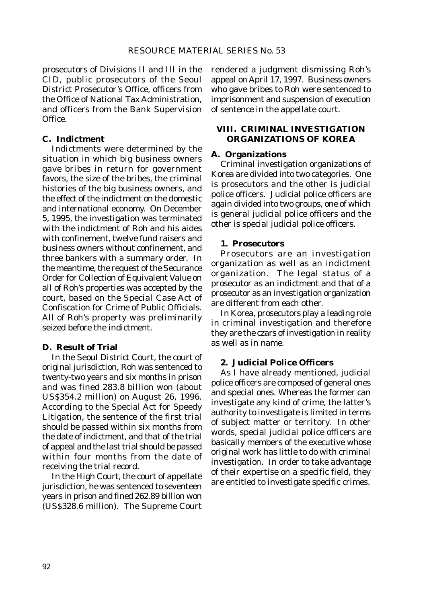prosecutors of Divisions II and III in the CID, public prosecutors of the Seoul District Prosecutor's Office, officers from the Office of National Tax Administration, and officers from the Bank Supervision Office.

## **C. Indictment**

Indictments were determined by the situation in which big business owners gave bribes in return for government favors, the size of the bribes, the criminal histories of the big business owners, and the effect of the indictment on the domestic and international economy. On December 5, 1995, the investigation was terminated with the indictment of Roh and his aides with confinement, twelve fund raisers and business owners without confinement, and three bankers with a summary order. In the meantime, the request of the Securance Order for Collection of Equivalent Value on all of Roh's properties was accepted by the court, based on the Special Case Act of Confiscation for Crime of Public Officials. All of Roh's property was preliminarily seized before the indictment.

## **D. Result of Trial**

In the Seoul District Court, the court of original jurisdiction, Roh was sentenced to twenty-two years and six months in prison and was fined 283.8 billion won (about US\$354.2 million) on August 26, 1996. According to the Special Act for Speedy Litigation, the sentence of the first trial should be passed within six months from the date of indictment, and that of the trial of appeal and the last trial should be passed within four months from the date of receiving the trial record.

In the High Court, the court of appellate jurisdiction, he was sentenced to seventeen years in prison and fined 262.89 billion won (US\$328.6 million). The Supreme Court rendered a judgment dismissing Roh's appeal on April 17, 1997. Business owners who gave bribes to Roh were sentenced to imprisonment and suspension of execution of sentence in the appellate court.

## **VIII. CRIMINAL INVESTIGATION ORGANIZATIONS OF KOREA**

## **A. Organizations**

Criminal investigation organizations of Korea are divided into two categories. One is prosecutors and the other is judicial police officers. Judicial police officers are again divided into two groups, one of which is general judicial police officers and the other is special judicial police officers.

## **1. Prosecutors**

Prosecutors are an investigation organization as well as an indictment organization. The legal status of a prosecutor as an indictment and that of a prosecutor as an investigation organization are different from each other.

In Korea, prosecutors play a leading role in criminal investigation and therefore they are the czars of investigation in reality as well as in name.

## **2. Judicial Police Officers**

As I have already mentioned, judicial police officers are composed of general ones and special ones. Whereas the former can investigate any kind of crime, the latter's authority to investigate is limited in terms of subject matter or territory. In other words, special judicial police officers are basically members of the executive whose original work has little to do with criminal investigation. In order to take advantage of their expertise on a specific field, they are entitled to investigate specific crimes.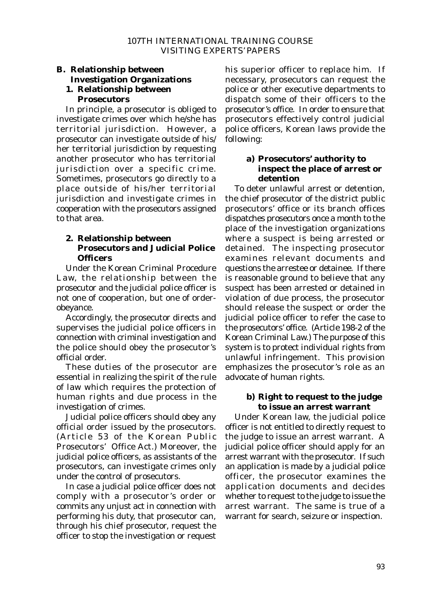# **B. Relationship between Investigation Organizations**

## **1. Relationship between Prosecutors**

In principle, a prosecutor is obliged to investigate crimes over which he/she has territorial jurisdiction. However, a prosecutor can investigate outside of his/ her territorial jurisdiction by requesting another prosecutor who has territorial jurisdiction over a specific crime. Sometimes, prosecutors go directly to a place outside of his/her territorial jurisdiction and investigate crimes in cooperation with the prosecutors assigned to that area.

## **2. Relationship between Prosecutors and Judicial Police Officers**

Under the Korean Criminal Procedure Law, the relationship between the prosecutor and the judicial police officer is not one of cooperation, but one of orderobeyance.

Accordingly, the prosecutor directs and supervises the judicial police officers in connection with criminal investigation and the police should obey the prosecutor's official order.

These duties of the prosecutor are essential in realizing the spirit of the rule of law which requires the protection of human rights and due process in the investigation of crimes.

Judicial police officers should obey any official order issued by the prosecutors. (Article 53 of the Korean Public Prosecutors' Office Act.) Moreover, the judicial police officers, as assistants of the prosecutors, can investigate crimes only under the control of prosecutors.

In case a judicial police officer does not comply with a prosecutor's order or commits any unjust act in connection with performing his duty, that prosecutor can, through his chief prosecutor, request the officer to stop the investigation or request his superior officer to replace him. If necessary, prosecutors can request the police or other executive departments to dispatch some of their officers to the prosecutor's office. In order to ensure that prosecutors effectively control judicial police officers, Korean laws provide the following:

## **a) Prosecutors' authority to inspect the place of arrest or detention**

To deter unlawful arrest or detention, the chief prosecutor of the district public prosecutors' office or its branch offices dispatches prosecutors once a month to the place of the investigation organizations where a suspect is being arrested or detained. The inspecting prosecutor examines relevant documents and questions the arrestee or detainee. If there is reasonable ground to believe that any suspect has been arrested or detained in violation of due process, the prosecutor should release the suspect or order the judicial police officer to refer the case to the prosecutors' office. (Article 198-2 of the Korean Criminal Law.) The purpose of this system is to protect individual rights from unlawful infringement. This provision emphasizes the prosecutor's role as an advocate of human rights.

## **b) Right to request to the judge to issue an arrest warrant**

Under Korean law, the judicial police officer is not entitled to directly request to the judge to issue an arrest warrant. A judicial police officer should apply for an arrest warrant with the prosecutor. If such an application is made by a judicial police officer, the prosecutor examines the application documents and decides whether to request to the judge to issue the arrest warrant. The same is true of a warrant for search, seizure or inspection.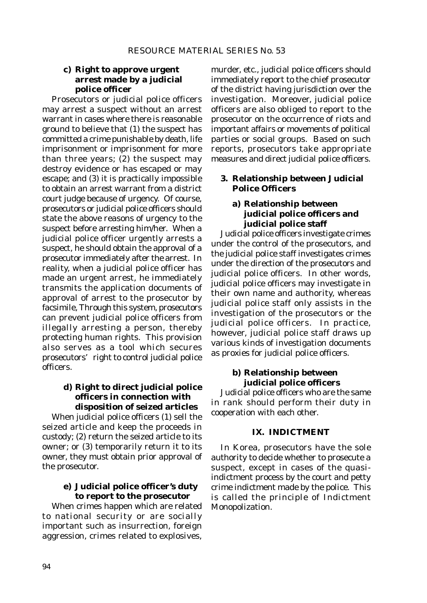## **c) Right to approve urgent arrest made by a judicial police officer**

Prosecutors or judicial police officers may arrest a suspect without an arrest warrant in cases where there is reasonable ground to believe that (1) the suspect has committed a crime punishable by death, life imprisonment or imprisonment for more than three years; (2) the suspect may destroy evidence or has escaped or may escape; and (3) it is practically impossible to obtain an arrest warrant from a district court judge because of urgency. Of course, prosecutors or judicial police officers should state the above reasons of urgency to the suspect before arresting him/her. When a judicial police officer urgently arrests a suspect, he should obtain the approval of a prosecutor immediately after the arrest. In reality, when a judicial police officer has made an urgent arrest, he immediately transmits the application documents of approval of arrest to the prosecutor by facsimile, Through this system, prosecutors can prevent judicial police officers from illegally arresting a person, thereby protecting human rights. This provision also serves as a tool which secures prosecutors' right to control judicial police officers.

## **d) Right to direct judicial police officers in connection with disposition of seized articles**

When judicial police officers (1) sell the seized article and keep the proceeds in custody; (2) return the seized article to its owner; or (3) temporarily return it to its owner, they must obtain prior approval of the prosecutor.

## **e) Judicial police officer's duty to report to the prosecutor**

When crimes happen which are related to national security or are socially important such as insurrection, foreign aggression, crimes related to explosives,

murder, etc., judicial police officers should immediately report to the chief prosecutor of the district having jurisdiction over the investigation. Moreover, judicial police officers are also obliged to report to the prosecutor on the occurrence of riots and important affairs or movements of political parties or social groups. Based on such reports, prosecutors take appropriate measures and direct judicial police officers.

## **3. Relationship between Judicial Police Officers**

## **a) Relationship between judicial police officers and judicial police staff**

Judicial police officers investigate crimes under the control of the prosecutors, and the judicial police staff investigates crimes under the direction of the prosecutors and judicial police officers. In other words, judicial police officers may investigate in their own name and authority, whereas judicial police staff only assists in the investigation of the prosecutors or the judicial police officers. In practice, however, judicial police staff draws up various kinds of investigation documents as proxies for judicial police officers.

## **b) Relationship between judicial police officers**

Judicial police officers who are the same in rank should perform their duty in cooperation with each other.

#### **IX. INDICTMENT**

In Korea, prosecutors have the sole authority to decide whether to prosecute a suspect, except in cases of the quasiindictment process by the court and petty crime indictment made by the police. This is called the principle of Indictment Monopolization.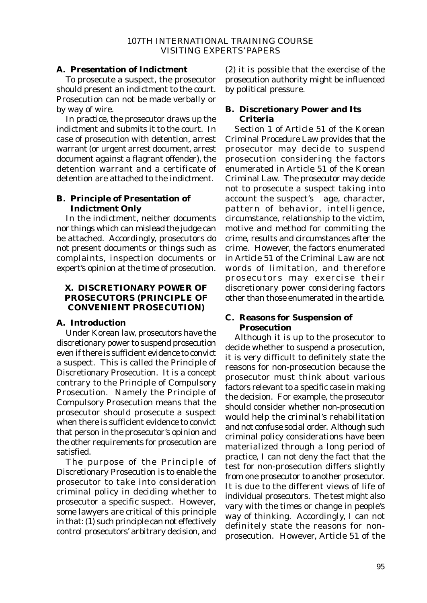#### **A. Presentation of Indictment**

To prosecute a suspect, the prosecutor should present an indictment to the court. Prosecution can not be made verbally or by way of wire.

In practice, the prosecutor draws up the indictment and submits it to the court. In case of prosecution with detention, arrest warrant (or urgent arrest document, arrest document against a flagrant offender), the detention warrant and a certificate of detention are attached to the indictment.

## **B. Principle of Presentation of Indictment Only**

In the indictment, neither documents nor things which can mislead the judge can be attached. Accordingly, prosecutors do not present documents or things such as complaints, inspection documents or expert's opinion at the time of prosecution.

## **X. DISCRETIONARY POWER OF PROSECUTORS (PRINCIPLE OF CONVENIENT PROSECUTION)**

## **A. Introduction**

Under Korean law, prosecutors have the discretionary power to suspend prosecution even if there is sufficient evidence to convict a suspect. This is called the Principle of Discretionary Prosecution. It is a concept contrary to the Principle of Compulsory Prosecution. Namely the Principle of Compulsory Prosecution means that the prosecutor should prosecute a suspect when there is sufficient evidence to convict that person in the prosecutor's opinion and the other requirements for prosecution are satisfied.

The purpose of the Principle of Discretionary Prosecution is to enable the prosecutor to take into consideration criminal policy in deciding whether to prosecutor a specific suspect. However, some lawyers are critical of this principle in that: (1) such principle can not effectively control prosecutors' arbitrary decision, and (2) it is possible that the exercise of the prosecution authority might be influenced by political pressure.

## **B. Discretionary Power and Its Criteria**

Section 1 of Article 51 of the Korean Criminal Procedure Law provides that the prosecutor may decide to suspend prosecution considering the factors enumerated in Article 51 of the Korean Criminal Law. The prosecutor may decide not to prosecute a suspect taking into account the suspect's age, character, pattern of behavior, intelligence, circumstance, relationship to the victim, motive and method for commiting the crime, results and circumstances after the crime. However, the factors enumerated in Article 51 of the Criminal Law are not words of limitation, and therefore prosecutors may exercise their discretionary power considering factors other than those enumerated in the article.

## **C. Reasons for Suspension of Prosecution**

Although it is up to the prosecutor to decide whether to suspend a prosecution, it is very difficult to definitely state the reasons for non-prosecution because the prosecutor must think about various factors relevant to a specific case in making the decision. For example, the prosecutor should consider whether non-prosecution would help the criminal's rehabilitation and not confuse social order. Although such criminal policy considerations have been materialized through a long period of practice, I can not deny the fact that the test for non-prosecution differs slightly from one prosecutor to another prosecutor. It is due to the different views of life of individual prosecutors. The test might also vary with the times or change in people's way of thinking. Accordingly, I can not definitely state the reasons for nonprosecution. However, Article 51 of the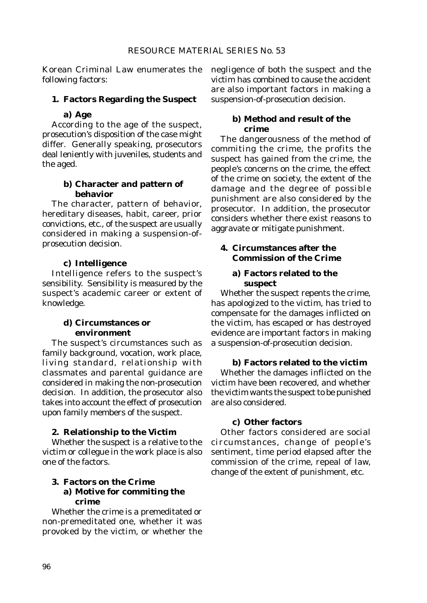Korean Criminal Law enumerates the following factors:

#### **1. Factors Regarding the Suspect**

#### **a) Age**

According to the age of the suspect, prosecution's disposition of the case might differ. Generally speaking, prosecutors deal leniently with juveniles, students and the aged.

## **b) Character and pattern of behavior**

The character, pattern of behavior, hereditary diseases, habit, career, prior convictions, etc., of the suspect are usually considered in making a suspension-ofprosecution decision.

#### **c) Intelligence**

Intelligence refers to the suspect's sensibility. Sensibility is measured by the suspect's academic career or extent of knowledge.

#### **d) Circumstances or environment**

The suspect's circumstances such as family background, vocation, work place, living standard, relationship with classmates and parental guidance are considered in making the non-prosecution decision. In addition, the prosecutor also takes into account the effect of prosecution upon family members of the suspect.

#### **2. Relationship to the Victim**

Whether the suspect is a relative to the victim or collegue in the work place is also one of the factors.

#### **3. Factors on the Crime a) Motive for commiting the crime**

Whether the crime is a premeditated or non-premeditated one, whether it was provoked by the victim, or whether the

negligence of both the suspect and the victim has combined to cause the accident are also important factors in making a suspension-of-prosecution decision.

#### **b) Method and result of the crime**

The dangerousness of the method of commiting the crime, the profits the suspect has gained from the crime, the people's concerns on the crime, the effect of the crime on society, the extent of the damage and the degree of possible punishment are also considered by the prosecutor. In addition, the prosecutor considers whether there exist reasons to aggravate or mitigate punishment.

## **4. Circumstances after the Commission of the Crime**

## **a) Factors related to the suspect**

Whether the suspect repents the crime, has apologized to the victim, has tried to compensate for the damages inflicted on the victim, has escaped or has destroyed evidence are important factors in making a suspension-of-prosecution decision.

#### **b) Factors related to the victim**

Whether the damages inflicted on the victim have been recovered, and whether the victim wants the suspect to be punished are also considered.

#### **c) Other factors**

Other factors considered are social circumstances, change of people's sentiment, time period elapsed after the commission of the crime, repeal of law, change of the extent of punishment, etc.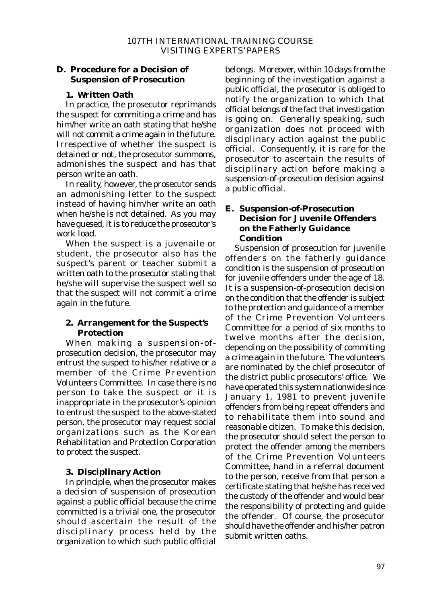## **D. Procedure for a Decision of Suspension of Prosecution**

## **1. Written Oath**

In practice, the prosecutor reprimands the suspect for commiting a crime and has him/her write an oath stating that he/she will not commit a crime again in the future. Irrespective of whether the suspect is detained or not, the prosecutor summoms, admonishes the suspect and has that person write an oath.

In reality, however, the prosecutor sends an admonishing letter to the suspect instead of having him/her write an oath when he/she is not detained. As you may have guesed, it is to reduce the prosecutor's work load.

When the suspect is a juvenaile or student, the prosecutor also has the suspect's parent or teacher submit a written oath to the prosecutor stating that he/she will supervise the suspect well so that the suspect will not commit a crime again in the future.

## **2. Arrangement for the Suspect's Protection**

When making a suspension-ofprosecution decision, the prosecutor may entrust the suspect to his/her relative or a member of the Crime Prevention Volunteers Committee. In case there is no person to take the suspect or it is inappropriate in the prosecutor's opinion to entrust the suspect to the above-stated person, the prosecutor may request social organizations such as the Korean Rehabilitation and Protection Corporation to protect the suspect.

## **3. Disciplinary Action**

In principle, when the prosecutor makes a decision of suspension of prosecution against a public official because the crime committed is a trivial one, the prosecutor should ascertain the result of the disciplinary process held by the organization to which such public official belongs. Moreover, within 10 days from the beginning of the investigation against a public official, the prosecutor is obliged to notify the organization to which that official belongs of the fact that investigation is going on. Generally speaking, such organization does not proceed with disciplinary action against the public official. Consequently, it is rare for the prosecutor to ascertain the results of disciplinary action before making a suspension-of-prosecution decision against a public official.

## **E. Suspension-of-Prosecution Decision for Juvenile Offenders on the Fatherly Guidance Condition**

Suspension of prosecution for juvenile offenders on the fatherly guidance condition is the suspension of prosecution for juvenile offenders under the age of 18. It is a suspension-of-prosecution decision on the condition that the offender is subject to the protection and guidance of a member of the Crime Prevention Volunteers Committee for a period of six months to twelve months after the decision, depending on the possibility of commiting a crime again in the future. The volunteers are nominated by the chief prosecutor of the district public prosecutors' office. We have operated this system nationwide since January 1, 1981 to prevent juvenile offenders from being repeat offenders and to rehabilitate them into sound and reasonable citizen. To make this decision, the prosecutor should select the person to protect the offender among the members of the Crime Prevention Volunteers Committee, hand in a referral document to the person, receive from that person a certificate stating that he/she has received the custody of the offender and would bear the responsibility of protecting and guide the offender. Of course, the prosecutor should have the offender and his/her patron submit written oaths.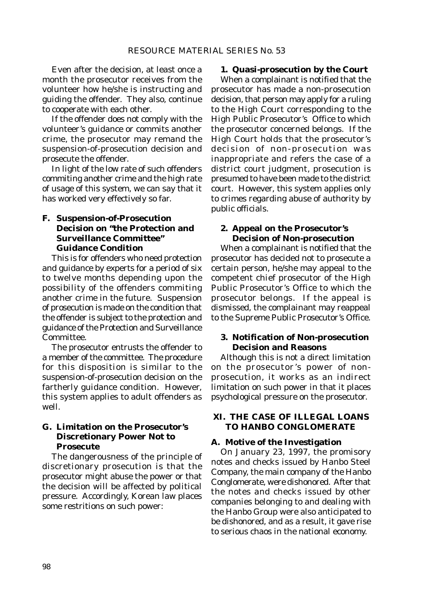Even after the decision, at least once a month the prosecutor receives from the volunteer how he/she is instructing and guiding the offender. They also, continue to cooperate with each other.

If the offender does not comply with the volunteer's guidance or commits another crime, the prosecutor may remand the suspension-of-prosecution decision and prosecute the offender.

In light of the low rate of such offenders commiting another crime and the high rate of usage of this system, we can say that it has worked very effectively so far.

## **F. Suspension-of-Prosecution Decision on "the Protection and Surveillance Committee" Guidance Condition**

This is for offenders who need protection and guidance by experts for a period of six to twelve months depending upon the possibility of the offenders commiting another crime in the future. Suspension of prosecution is made on the condition that the offender is subject to the protection and guidance of the Protection and Surveillance Committee.

The prosecutor entrusts the offender to a member of the committee. The procedure for this disposition is similar to the suspension-of-prosecution decision on the fartherly guidance condition. However, this system applies to adult offenders as well.

## **G. Limitation on the Prosecutor's Discretionary Power Not to Prosecute**

The dangerousness of the principle of discretionary prosecution is that the prosecutor might abuse the power or that the decision will be affected by political pressure. Accordingly, Korean law places some restritions on such power:

#### **1. Quasi-prosecution by the Court**

When a complainant is notified that the prosecutor has made a non-prosecution decision, that person may apply for a ruling to the High Court corresponding to the High Public Prosecutor's Office to which the prosecutor concerned belongs. If the High Court holds that the prosecutor's decision of non-prosecution was inappropriate and refers the case of a district court judgment, prosecution is presumed to have been made to the district court. However, this system applies only to crimes regarding abuse of authority by public officials.

## **2. Appeal on the Prosecutor's Decision of Non-prosecution**

When a complainant is notified that the prosecutor has decided not to prosecute a certain person, he/she may appeal to the competent chief prosecutor of the High Public Prosecutor's Office to which the prosecutor belongs. If the appeal is dismissed, the complainant may reappeal to the Supreme Public Prosecutor's Office.

#### **3. Notification of Non-prosecution Decision and Reasons**

Although this is not a direct limitation on the prosecutor's power of nonprosecution, it works as an indirect limitation on such power in that it places psychological pressure on the prosecutor.

## **XI. THE CASE OF ILLEGAL LOANS TO HANBO CONGLOMERATE**

#### **A. Motive of the Investigation**

On January 23, 1997, the promisory notes and checks issued by Hanbo Steel Company, the main company of the Hanbo Conglomerate, were dishonored. After that the notes and checks issued by other companies belonging to and dealing with the Hanbo Group were also anticipated to be dishonored, and as a result, it gave rise to serious chaos in the national economy.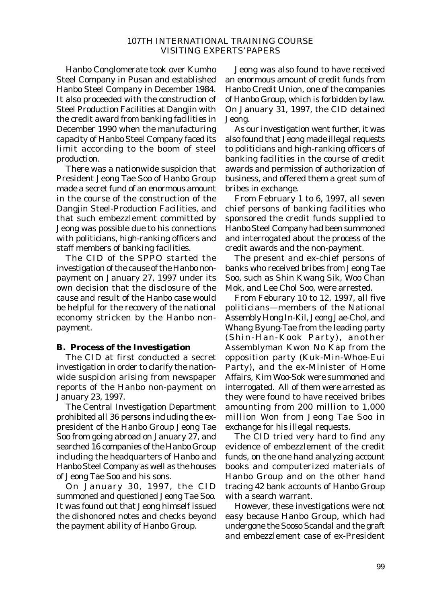Hanbo Conglomerate took over Kumho Steel Company in Pusan and established Hanbo Steel Company in December 1984. It also proceeded with the construction of Steel Production Facilities at Dangjin with the credit award from banking facilities in December 1990 when the manufacturing capacity of Hanbo Steel Company faced its limit according to the boom of steel production.

There was a nationwide suspicion that President Jeong Tae Soo of Hanbo Group made a secret fund of an enormous amount in the course of the construction of the Dangjin Steel-Production Facilities, and that such embezzlement committed by Jeong was possible due to his connections with politicians, high-ranking officers and staff members of banking facilities.

The CID of the SPPO started the investigation of the cause of the Hanbo nonpayment on January 27, 1997 under its own decision that the disclosure of the cause and result of the Hanbo case would be helpful for the recovery of the national economy stricken by the Hanbo nonpayment.

### **B. Process of the Investigation**

The CID at first conducted a secret investigation in order to clarify the nationwide suspicion arising from newspaper reports of the Hanbo non-payment on January 23, 1997.

The Central Investigation Department prohibited all 36 persons including the expresident of the Hanbo Group Jeong Tae Soo from going abroad on January 27, and searched 16 companies of the Hanbo Group including the headquarters of Hanbo and Hanbo Steel Company as well as the houses of Jeong Tae Soo and his sons.

On January 30, 1997, the CID summoned and questioned Jeong Tae Soo. It was found out that Jeong himself issued the dishonored notes and checks beyond the payment ability of Hanbo Group.

Jeong was also found to have received an enormous amount of credit funds from Hanbo Credit Union, one of the companies of Hanbo Group, which is forbidden by law. On January 31, 1997, the CID detained Jeong.

As our investigation went further, it was also found that Jeong made illegal requests to politicians and high-ranking officers of banking facilities in the course of credit awards and permission of authorization of business, and offered them a great sum of bribes in exchange.

From February 1 to 6, 1997, all seven chief persons of banking facilities who sponsored the credit funds supplied to Hanbo Steel Company had been summoned and interrogated about the process of the credit awards and the non-payment.

The present and ex-chief persons of banks who received bribes from Jeong Tae Soo, such as Shin Kwang Sik, Woo Chan Mok, and Lee Chol Soo, were arrested.

From Feburary 10 to 12, 1997, all five politicians—members of the National Assembly Hong In-Kil, Jeong Jae-Chol, and Whang Byung-Tae from the leading party (Shin-Han-Kook Party), another Assemblyman Kwon No Kap from the opposition party (Kuk-Min-Whoe-Eui Party), and the ex-Minister of Home Affairs, Kim Woo-Sok were summoned and interrogated. All of them were arrested as they were found to have received bribes amounting from 200 million to 1,000 million Won from Jeong Tae Soo in exchange for his illegal requests.

The CID tried very hard to find any evidence of embezzlement of the credit funds, on the one hand analyzing account books and computerized materials of Hanbo Group and on the other hand tracing 42 bank accounts of Hanbo Group with a search warrant.

However, these investigations were not easy because Hanbo Group, which had undergone the Sooso Scandal and the graft and embezzlement case of ex-President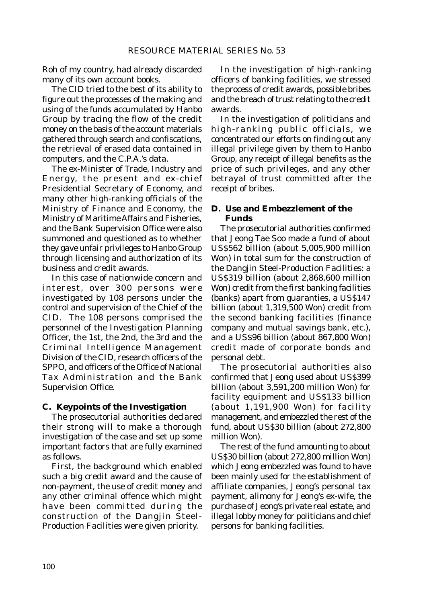Roh of my country, had already discarded many of its own account books.

The CID tried to the best of its ability to figure out the processes of the making and using of the funds accumulated by Hanbo Group by tracing the flow of the credit money on the basis of the account materials gathered through search and confiscations, the retrieval of erased data contained in computers, and the C.P.A.'s data.

The ex-Minister of Trade, Industry and Energy, the present and ex-chief Presidential Secretary of Economy, and many other high-ranking officials of the Ministry of Finance and Economy, the Ministry of Maritime Affairs and Fisheries, and the Bank Supervision Office were also summoned and questioned as to whether they gave unfair privileges to Hanbo Group through licensing and authorization of its business and credit awards.

In this case of nationwide concern and interest, over 300 persons were investigated by 108 persons under the control and supervision of the Chief of the CID. The 108 persons comprised the personnel of the Investigation Planning Officer, the 1st, the 2nd, the 3rd and the Criminal Intelligence Management Division of the CID, research officers of the SPPO, and officers of the Office of National Tax Administration and the Bank Supervision Office.

#### **C. Keypoints of the Investigation**

The prosecutorial authorities declared their strong will to make a thorough investigation of the case and set up some important factors that are fully examined as follows.

First, the background which enabled such a big credit award and the cause of non-payment, the use of credit money and any other criminal offence which might have been committed during the construction of the Dangjin Steel-Production Facilities were given priority.

In the investigation of high-ranking officers of banking facilities, we stressed the process of credit awards, possible bribes and the breach of trust relating to the credit awards.

In the investigation of politicians and high-ranking public officials, we concentrated our efforts on finding out any illegal privilege given by them to Hanbo Group, any receipt of illegal benefits as the price of such privileges, and any other betrayal of trust committed after the receipt of bribes.

## **D. Use and Embezzlement of the Funds**

The prosecutorial authorities confirmed that Jeong Tae Soo made a fund of about US\$562 billion (about 5,005,900 million Won) in total sum for the construction of the Dangjin Steel-Production Facilities: a US\$319 billion (about 2,868,600 million Won) credit from the first banking facilities (banks) apart from guaranties, a US\$147 billion (about 1,319,500 Won) credit from the second banking facilities (finance company and mutual savings bank, etc.), and a US\$96 billion (about 867,800 Won) credit made of corporate bonds and personal debt.

The prosecutorial authorities also confirmed that Jeong used about US\$399 billion (about 3,591,200 million Won) for facility equipment and US\$133 billion (about 1,191,900 Won) for facility management, and embezzled the rest of the fund, about US\$30 billion (about 272,800 million Won).

The rest of the fund amounting to about US\$30 billion (about 272,800 million Won) which Jeong embezzled was found to have been mainly used for the establishment of affiliate companies, Jeong's personal tax payment, alimony for Jeong's ex-wife, the purchase of Jeong's private real estate, and illegal lobby money for politicians and chief persons for banking facilities.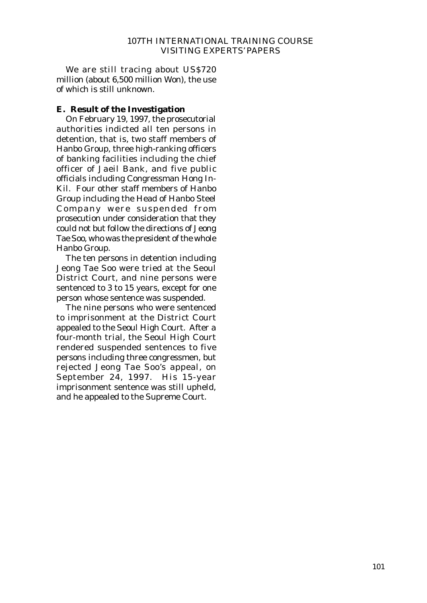We are still tracing about US\$720 million (about 6,500 million Won), the use of which is still unknown.

#### **E. Result of the Investigation**

On February 19, 1997, the prosecutorial authorities indicted all ten persons in detention, that is, two staff members of Hanbo Group, three high-ranking officers of banking facilities including the chief officer of Jaeil Bank, and five public officials including Congressman Hong In-Kil. Four other staff members of Hanbo Group including the Head of Hanbo Steel Company were suspended from prosecution under consideration that they could not but follow the directions of Jeong Tae Soo, who was the president of the whole Hanbo Group.

The ten persons in detention including Jeong Tae Soo were tried at the Seoul District Court, and nine persons were sentenced to 3 to 15 years, except for one person whose sentence was suspended.

The nine persons who were sentenced to imprisonment at the District Court appealed to the Seoul High Court. After a four-month trial, the Seoul High Court rendered suspended sentences to five persons including three congressmen, but rejected Jeong Tae Soo's appeal, on September 24, 1997. His 15-year imprisonment sentence was still upheld, and he appealed to the Supreme Court.